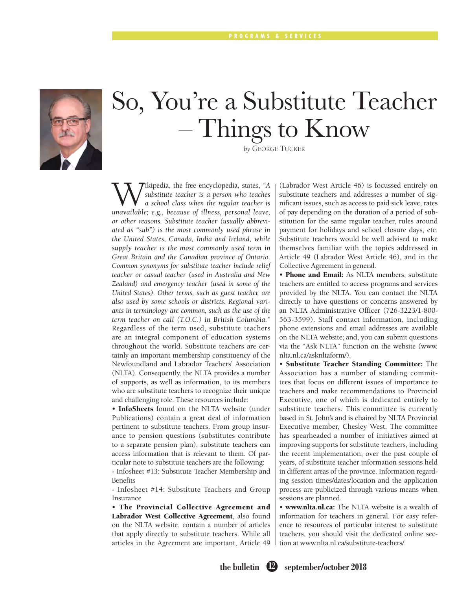

# So, You're a Substitute Teacher – Things to Know

*by* GEORGE TUCKER

**W**ikipedia, the free encyclopedia, states, "A substitute teacher is a person who teaches a school class when the regular teacher is unavailable: e g because of illness, personal leave *substitute teacher is a person who teaches a school class when the regular teacher is unavailable; e.g., because of illness, personal leave, or other reasons. Substitute teacher (usually abbreviated as "sub") is the most commonly used phrase in the United States, Canada, India and Ireland, while supply teacher is the most commonly used term in Great Britain and the Canadian province of Ontario. Common synonyms for substitute teacher include relief teacher or casual teacher (used in Australia and New Zealand) and emergency teacher (used in some of the United States). Other terms, such as guest teacher, are also used by some schools or districts. Regional variants in terminology are common, such as the use of the term teacher on call (T.O.C.) in British Columbia."* Regardless of the term used, substitute teachers are an integral component of education systems throughout the world. Substitute teachers are certainly an important membership constituency of the Newfoundland and Labrador Teachers' Association (NLTA). Consequently, the NLTA provides a number of supports, as well as information, to its members who are substitute teachers to recognize their unique and challenging role. These resources include:

• InfoSheets found on the NLTA website (under Publications) contain a great deal of information pertinent to substitute teachers. From group insurance to pension questions (substitutes contribute to a separate pension plan), substitute teachers can access information that is relevant to them. Of particular note to substitute teachers are the following:

- Infosheet #13: Substitute Teacher Membership and Benefits

- Infosheet #14: Substitute Teachers and Group Insurance

• The Provincial Collective Agreement and Labrador West Collective Agreement, also found on the NLTA website, contain a number of articles that apply directly to substitute teachers. While all articles in the Agreement are important, Article 49 (Labrador West Article 46) is focussed entirely on substitute teachers and addresses a number of significant issues, such as access to paid sick leave, rates of pay depending on the duration of a period of substitution for the same regular teacher, rules around payment for holidays and school closure days, etc. Substitute teachers would be well advised to make themselves familiar with the topics addressed in Article 49 (Labrador West Article 46), and in the Collective Agreement in general.

• Phone and Email: As NLTA members, substitute teachers are entitled to access programs and services provided by the NLTA. You can contact the NLTA directly to have questions or concerns answered by an NLTA Administrative Officer (726-3223/1-800- 563-3599). Staff contact information, including phone extensions and email addresses are available on the NLTA website; and, you can submit questions via the "Ask NLTA" function on the website (www. nlta.nl.ca/asknltaform/).

• Substitute Teacher Standing Committee: The Association has a number of standing committees that focus on different issues of importance to teachers and make recommendations to Provincial Executive, one of which is dedicated entirely to substitute teachers. This committee is currently based in St. John's and is chaired by NLTA Provincial Executive member, Chesley West. The committee has spearheaded a number of initiatives aimed at improving supports for substitute teachers, including the recent implementation, over the past couple of years, of substitute teacher information sessions held in different areas of the province. Information regarding session times/dates/location and the application process are publicized through various means when sessions are planned.

• www.nlta.nl.ca: The NLTA website is a wealth of information for teachers in general. For easy reference to resources of particular interest to substitute teachers, you should visit the dedicated online section at www.nlta.nl.ca/substitute-teachers/.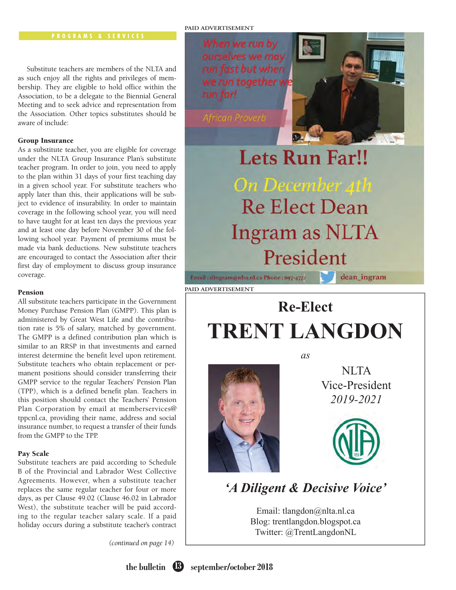## **PAID ADVERTISEMENT**

Substitute teachers are members of the NLTA and as such enjoy all the rights and privileges of membership. They are eligible to hold office within the Association, to be a delegate to the Biennial General Meeting and to seek advice and representation from the Association. Other topics substitutes should be aware of include:

## Group Insurance

As a substitute teacher, you are eligible for coverage under the NLTA Group Insurance Plan's substitute teacher program. In order to join, you need to apply to the plan within 31 days of your first teaching day in a given school year. For substitute teachers who apply later than this, their applications will be subject to evidence of insurability. In order to maintain coverage in the following school year, you will need to have taught for at least ten days the previous year and at least one day before November 30 of the following school year. Payment of premiums must be made via bank deductions. New substitute teachers are encouraged to contact the Association after their first day of employment to discuss group insurance coverage.

### Pension

All substitute teachers participate in the Government Money Purchase Pension Plan (GMPP). This plan is administered by Great West Life and the contribution rate is 5% of salary, matched by government. The GMPP is a defined contribution plan which is similar to an RRSP in that investments and earned interest determine the benefit level upon retirement. Substitute teachers who obtain replacement or permanent positions should consider transferring their GMPP service to the regular Teachers' Pension Plan (TPP), which is a defined benefit plan. Teachers in this position should contact the Teachers' Pension Plan Corporation by email at memberservices@ tppcnl.ca, providing their name, address and social insurance number, to request a transfer of their funds from the GMPP to the TPP.

## Pay Scale

Substitute teachers are paid according to Schedule B of the Provincial and Labrador West Collective Agreements. However, when a substitute teacher replaces the same regular teacher for four or more days, as per Clause 49.02 (Clause 46.02 in Labrador West), the substitute teacher will be paid according to the regular teacher salary scale. If a paid holiday occurs during a substitute teacher's contract

*(continued on page 14)*

When we run by ourselves we may run fast but when we run together w run far!

*Ifrican Proverb* 

# **Lets Run Far!!** On December 4th **Re Elect Dean Ingram as NLTA** President

**PAID ADVERTISEMENT**

dean\_ingram

Email: dingram@nlta.nl.ca Phone: 697-4772

## **Re-Elect TRENT LANGDON**

*as*



NLTA Vice-President *2019-2021*



## *'A Diligent & Decisive Voice'*

Email: tlangdon@nlta.nl.ca Blog: trentlangdon.blogspot.ca Twitter: @TrentLangdonNL